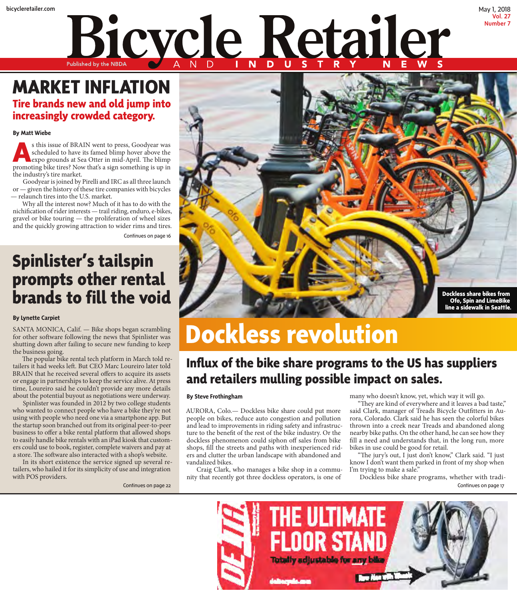# bicycleretailer.com May 1, 2018 Bicycle Retailer

### **MARKET INFLATION Tire brands new and old jump into increasingly crowded category.**

### **By Matt Wiebe**

**A**s this issue of BRAIN went to press, Goodyear was scheduled to have its famed blimp hover above the expo grounds at Sea Otter in mid-April. The blimp promoting bike tires? Now that's a sign something is up in the industry's tire market.

Goodyear is joined by Pirelli and IRC as all three launch or — given the history of these tire companies with bicycles — relaunch tires into the U.S. market.

Why all the interest now? Much of it has to do with the nichification of rider interests — trail riding, enduro, e-bikes, gravel or bike touring — the proliferation of wheel sizes and the quickly growing attraction to wider rims and tires.

Continues on page 16

## **Spinlister's tailspin prompts other rental brands to fill the void**

#### **By Lynette Carpiet**

SANTA MONICA, Calif. — Bike shops began scrambling for other software following the news that Spinlister was shutting down after failing to secure new funding to keep the business going.

The popular bike rental tech platform in March told retailers it had weeks left. But CEO Marc Loureiro later told BRAIN that he received several offers to acquire its assets or engage in partnerships to keep the service alive. At press time, Loureiro said he couldn't provide any more details about the potential buyout as negotiations were underway.

Spinlister was founded in 2012 by two college students who wanted to connect people who have a bike they're not using with people who need one via a smartphone app. But the startup soon branched out from its original peer-to-peer business to offer a bike rental platform that allowed shops to easily handle bike rentals with an iPad kiosk that customers could use to book, register, complete waivers and pay at a store. The software also interacted with a shop's website.

In its short existence the service signed up several retailers, who hailed it for its simplicity of use and integration with POS providers.



## **Dockless revolution**

### **Influx of the bike share programs to the US has suppliers and retailers mulling possible impact on sales.**

### **By Steve Frothingham**

AURORA, Colo.— Dockless bike share could put more people on bikes, reduce auto congestion and pollution and lead to improvements in riding safety and infrastructure to the benefit of the rest of the bike industry. Or the dockless phenomenon could siphon off sales from bike shops, fill the streets and paths with inexperienced riders and clutter the urban landscape with abandoned and vandalized bikes.

Craig Clark, who manages a bike shop in a community that recently got three dockless operators, is one of

many who doesn't know, yet, which way it will go.

"They are kind of everywhere and it leaves a bad taste," said Clark, manager of Treads Bicycle Outfitters in Aurora, Colorado. Clark said he has seen the colorful bikes thrown into a creek near Treads and abandoned along nearby bike paths. On the other hand, he can see how they fill a need and understands that, in the long run, more bikes in use could be good for retail.

Vol. 27 Number 7

"The jury's out, I just don't know," Clark said. "I just know I don't want them parked in front of my shop when I'm trying to make a sale."

Dockless bike share programs, whether with tradi-Continues on page 22 Continues on page 17